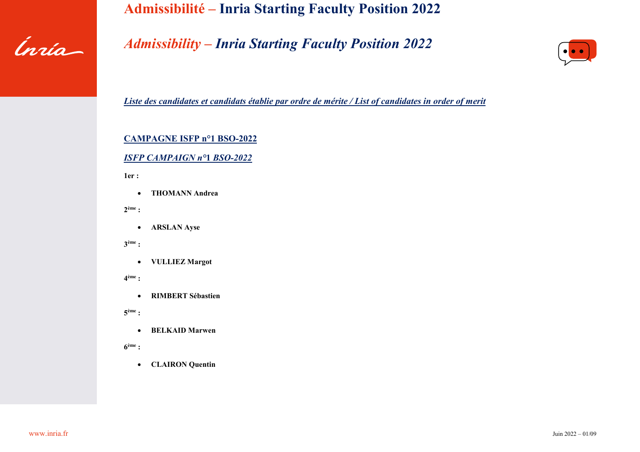

## *Admissibility – Inria Starting Faculty Position 2022*



*Liste des candidates et candidats établie par ordre de mérite / List of candidates in order of merit*

#### **CAMPAGNE ISFP n°1 BSO-2022**

### *ISFP CAMPAIGN n°***1** *BSO-2022*

**1er :** 

• **THOMANN Andrea**

**2ème :** 

• **ARSLAN Ayse**

**3ème :** 

• **VULLIEZ Margot**

**4ème :** 

• **RIMBERT Sébastien**

**5ème :** 

• **BELKAID Marwen**

**6ème :** 

• **CLAIRON Quentin**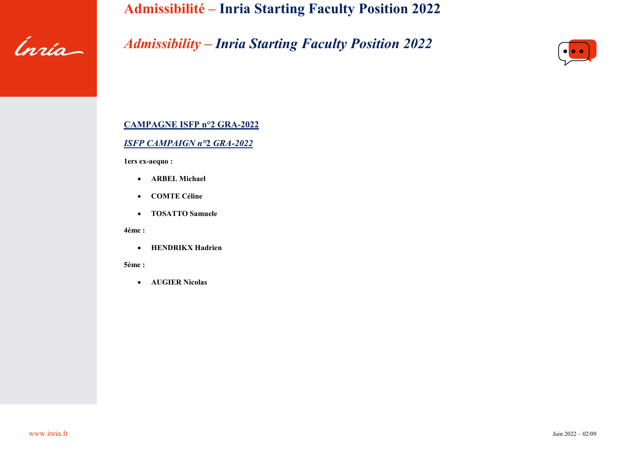

# *Admissibility – Inria Starting Faculty Position 2022*



#### **CAMPAGNE ISFP n°2 GRA-2022**

#### *ISFP CAMPAIGN n°***2** *GRA-2022*

**1ers ex-aequo :** 

- **ARBEL Michael**
- **COMTE Céline**
- **TOSATTO Samuele**

**4ème :** 

• **HENDRIKX Hadrien**

**5ème :** 

• **AUGIER Nicolas**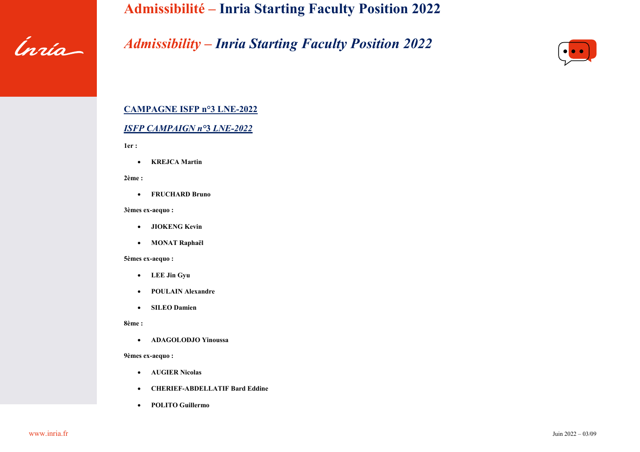

## *Admissibility – Inria Starting Faculty Position 2022*



### **CAMPAGNE ISFP n°3 LNE-2022**

#### *ISFP CAMPAIGN n°***3** *LNE-2022*

**1er :** 

• **KREJCA Martin**

**2ème :** 

• **FRUCHARD Bruno**

#### **3èmes ex-aequo :**

- **JIOKENG Kevin**
- **MONAT Raphaël**

#### **5èmes ex-aequo :**

- **LEE Jin Gyu**
- **POULAIN Alexandre**
- **SILEO Damien**

#### **8ème :**

• **ADAGOLODJO Yinoussa**

#### **9èmes ex-aequo :**

- **AUGIER Nicolas**
- **CHERIEF-ABDELLATIF Bard Eddine**
- **POLITO Guillermo**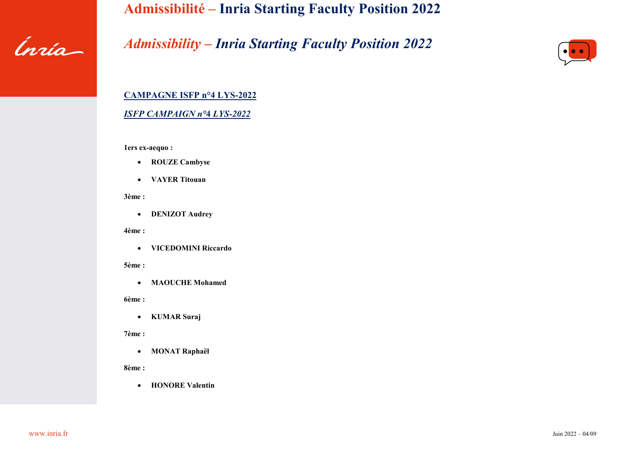

# *Admissibility – Inria Starting Faculty Position 2022*



# **CAMPAGNE ISFP n°4 LYS-2022**

### *ISFP CAMPAIGN n°***4** *LYS-2022*

**1ers ex-aequo :** 

- **ROUZE Cambyse**
- **VAYER Titouan**

**3ème :** 

• **DENIZOT Audrey**

**4ème :** 

• **VICEDOMINI Riccardo**

**5ème :** 

• **MAOUCHE Mohamed**

**6ème :** 

• **KUMAR Suraj**

**7ème :** 

• **MONAT Raphaël**

**8ème :** 

• **HONORE Valentin**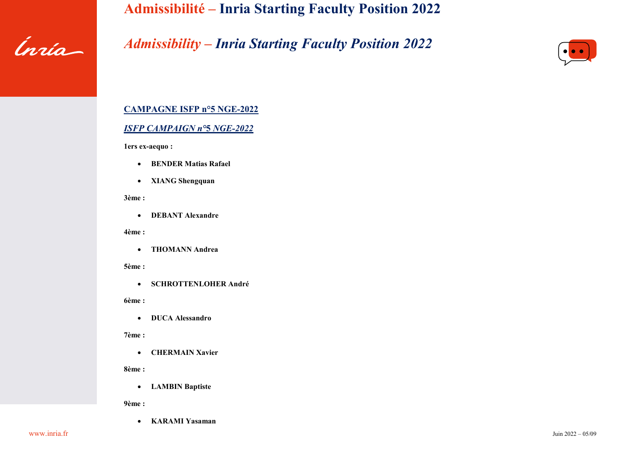

# *Admissibility – Inria Starting Faculty Position 2022*



## **CAMPAGNE ISFP n°5 NGE-2022**

#### *ISFP CAMPAIGN n°***5** *NGE-2022*

**1ers ex-aequo :** 

- **BENDER Matias Rafael**
- **XIANG Shengquan**

**3ème :** 

• **DEBANT Alexandre**

**4ème :** 

• **THOMANN Andrea**

**5ème :** 

• **SCHROTTENLOHER André**

**6ème :** 

• **DUCA Alessandro**

**7ème :** 

• **CHERMAIN Xavier**

**8ème :** 

• **LAMBIN Baptiste**

**9ème :** 

• **KARAMI Yasaman**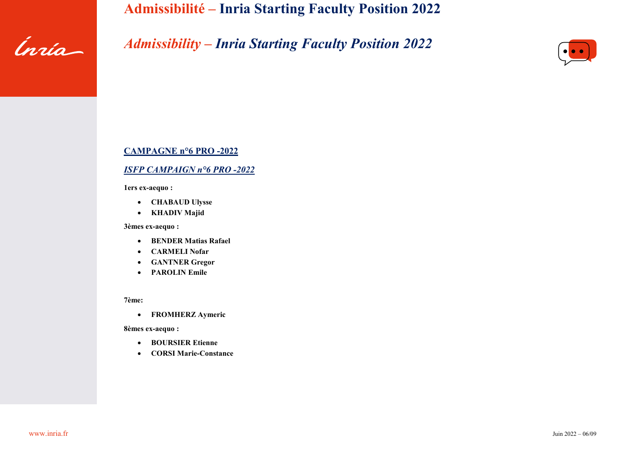

# *Admissibility – Inria Starting Faculty Position 2022*



#### **CAMPAGNE n°6 PRO -2022**

#### *ISFP CAMPAIGN n°6 PRO -2022*

**1ers ex-aequo :** 

- **CHABAUD Ulysse**
- **KHADIV Majid**

**3èmes ex-aequo :** 

- **BENDER Matias Rafael**
- **CARMELI Nofar**
- **GANTNER Gregor**
- **PAROLIN Emile**

**7ème:**

• **FROMHERZ Aymeric**

**8èmes ex-aequo :**

- **BOURSIER Etienne**
- **CORSI Marie-Constance**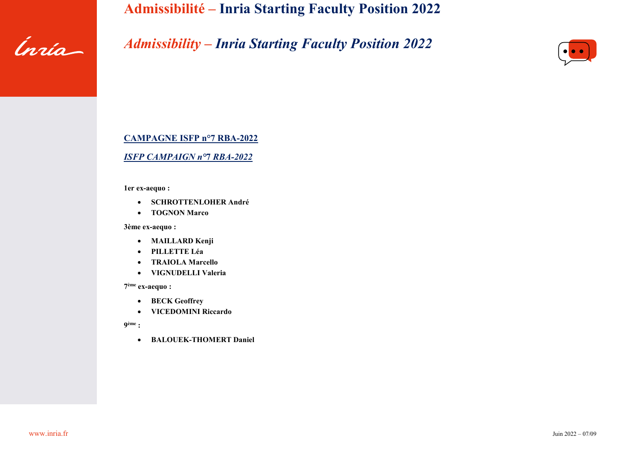

# *Admissibility – Inria Starting Faculty Position 2022*



### **CAMPAGNE ISFP n°7 RBA-2022**

#### *ISFP CAMPAIGN n°***7** *RBA-2022*

**1er ex-aequo :** 

- **SCHROTTENLOHER André**
- **TOGNON Marco**

**3ème ex-aequo :** 

- **MAILLARD Kenji**
- **PILLETTE Léa**
- **TRAIOLA Marcello**
- **VIGNUDELLI Valeria**

**7ème ex-aequo :**

- **BECK Geoffrey**
- **VICEDOMINI Riccardo**

**9ème :** 

• **BALOUEK-THOMERT Daniel**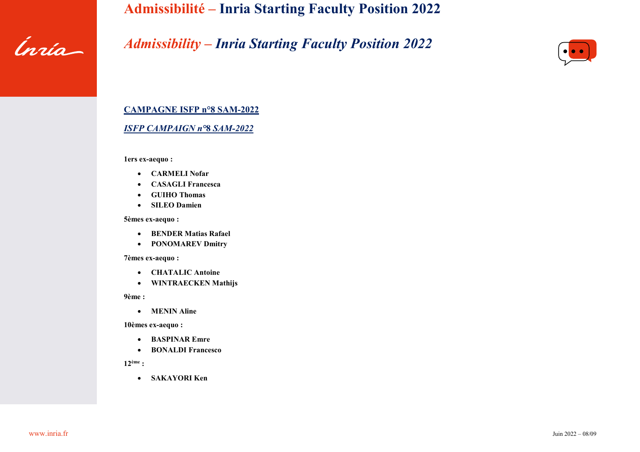

# *Admissibility – Inria Starting Faculty Position 2022*



### **CAMPAGNE ISFP n°8 SAM-2022**

#### *ISFP CAMPAIGN n°***8** *SAM-2022*

**1ers ex-aequo :** 

- **CARMELI Nofar**
- **CASAGLI Francesca**
- **GUIHO Thomas**
- **SILEO Damien**

**5èmes ex-aequo :** 

- **BENDER Matias Rafael**
- **PONOMAREV Dmitry**

#### **7èmes ex-aequo :**

- **CHATALIC Antoine**
- **WINTRAECKEN Mathijs**

**9ème :** 

• **MENIN Aline**

**10èmes ex-aequo :**

- **BASPINAR Emre**
- **BONALDI Francesco**

**12ème :**

• **SAKAYORI Ken**